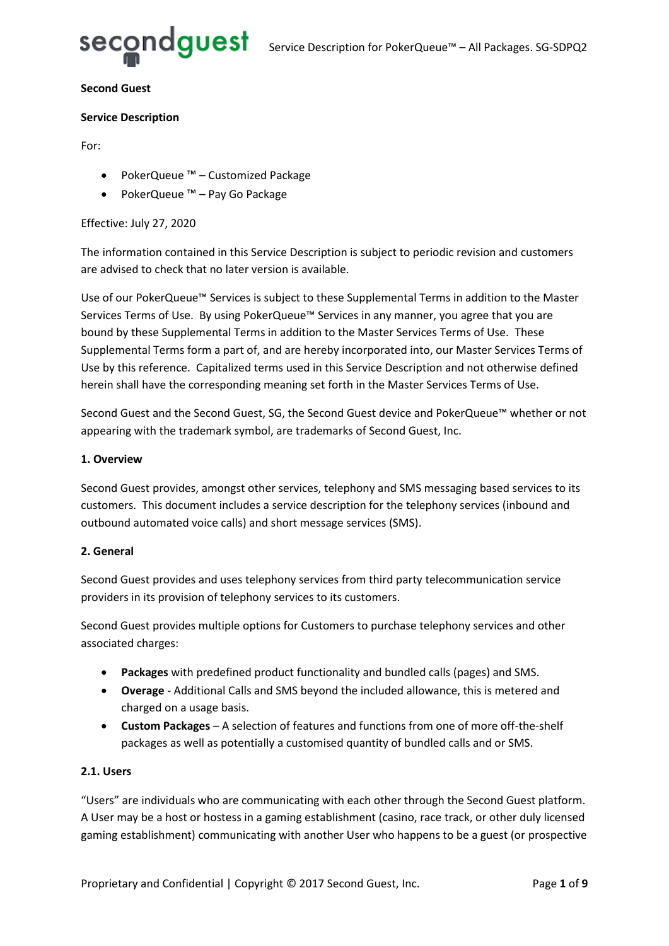

#### **Second Guest**

#### **Service Description**

For:

- PokerQueue ™ Customized Package
- PokerQueue ™ Pay Go Package

#### Effective: July 27, 2020

The information contained in this Service Description is subject to periodic revision and customers are advised to check that no later version is available.

Use of our PokerQueue™ Services is subject to these Supplemental Terms in addition to the Master Services Terms of Use. By using PokerQueue™ Services in any manner, you agree that you are bound by these Supplemental Terms in addition to the Master Services Terms of Use. These Supplemental Terms form a part of, and are hereby incorporated into, our Master Services Terms of Use by this reference. Capitalized terms used in this Service Description and not otherwise defined herein shall have the corresponding meaning set forth in the Master Services Terms of Use.

Second Guest and the Second Guest, SG, the Second Guest device and PokerQueue™ whether or not appearing with the trademark symbol, are trademarks of Second Guest, Inc.

#### **1. Overview**

Second Guest provides, amongst other services, telephony and SMS messaging based services to its customers. This document includes a service description for the telephony services (inbound and outbound automated voice calls) and short message services (SMS).

#### **2. General**

Second Guest provides and uses telephony services from third party telecommunication service providers in its provision of telephony services to its customers.

Second Guest provides multiple options for Customers to purchase telephony services and other associated charges:

- **Packages** with predefined product functionality and bundled calls (pages) and SMS.
- **Overage** Additional Calls and SMS beyond the included allowance, this is metered and charged on a usage basis.
- **Custom Packages** A selection of features and functions from one of more off-the-shelf packages as well as potentially a customised quantity of bundled calls and or SMS.

#### **2.1. Users**

"Users" are individuals who are communicating with each other through the Second Guest platform. A User may be a host or hostess in a gaming establishment (casino, race track, or other duly licensed gaming establishment) communicating with another User who happens to be a guest (or prospective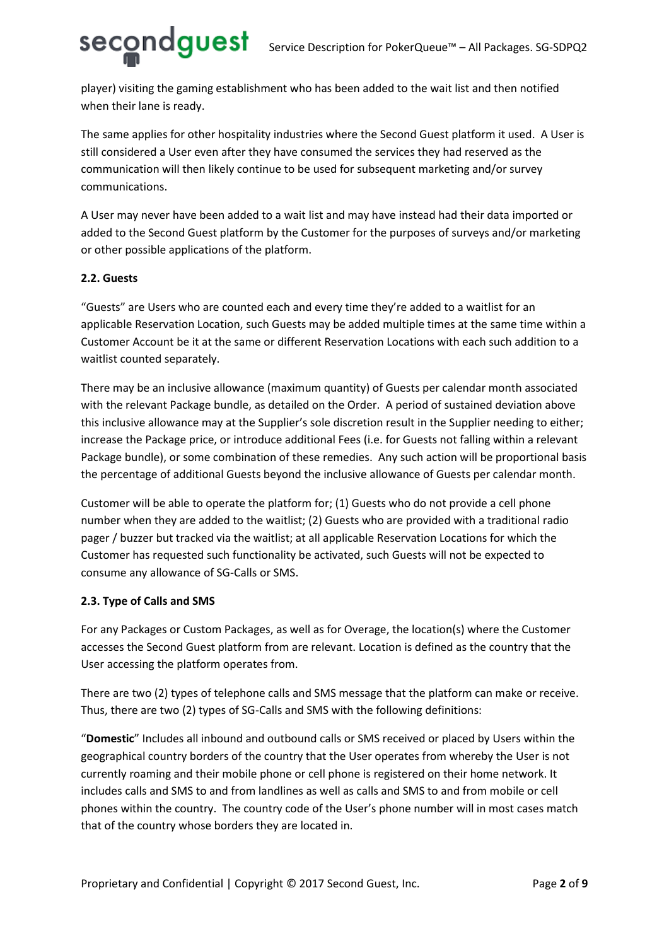player) visiting the gaming establishment who has been added to the wait list and then notified when their lane is ready.

The same applies for other hospitality industries where the Second Guest platform it used. A User is still considered a User even after they have consumed the services they had reserved as the communication will then likely continue to be used for subsequent marketing and/or survey communications.

A User may never have been added to a wait list and may have instead had their data imported or added to the Second Guest platform by the Customer for the purposes of surveys and/or marketing or other possible applications of the platform.

#### **2.2. Guests**

"Guests" are Users who are counted each and every time they're added to a waitlist for an applicable Reservation Location, such Guests may be added multiple times at the same time within a Customer Account be it at the same or different Reservation Locations with each such addition to a waitlist counted separately.

There may be an inclusive allowance (maximum quantity) of Guests per calendar month associated with the relevant Package bundle, as detailed on the Order. A period of sustained deviation above this inclusive allowance may at the Supplier's sole discretion result in the Supplier needing to either; increase the Package price, or introduce additional Fees (i.e. for Guests not falling within a relevant Package bundle), or some combination of these remedies. Any such action will be proportional basis the percentage of additional Guests beyond the inclusive allowance of Guests per calendar month.

Customer will be able to operate the platform for; (1) Guests who do not provide a cell phone number when they are added to the waitlist; (2) Guests who are provided with a traditional radio pager / buzzer but tracked via the waitlist; at all applicable Reservation Locations for which the Customer has requested such functionality be activated, such Guests will not be expected to consume any allowance of SG-Calls or SMS.

#### **2.3. Type of Calls and SMS**

For any Packages or Custom Packages, as well as for Overage, the location(s) where the Customer accesses the Second Guest platform from are relevant. Location is defined as the country that the User accessing the platform operates from.

There are two (2) types of telephone calls and SMS message that the platform can make or receive. Thus, there are two (2) types of SG-Calls and SMS with the following definitions:

"**Domestic**" Includes all inbound and outbound calls or SMS received or placed by Users within the geographical country borders of the country that the User operates from whereby the User is not currently roaming and their mobile phone or cell phone is registered on their home network. It includes calls and SMS to and from landlines as well as calls and SMS to and from mobile or cell phones within the country. The country code of the User's phone number will in most cases match that of the country whose borders they are located in.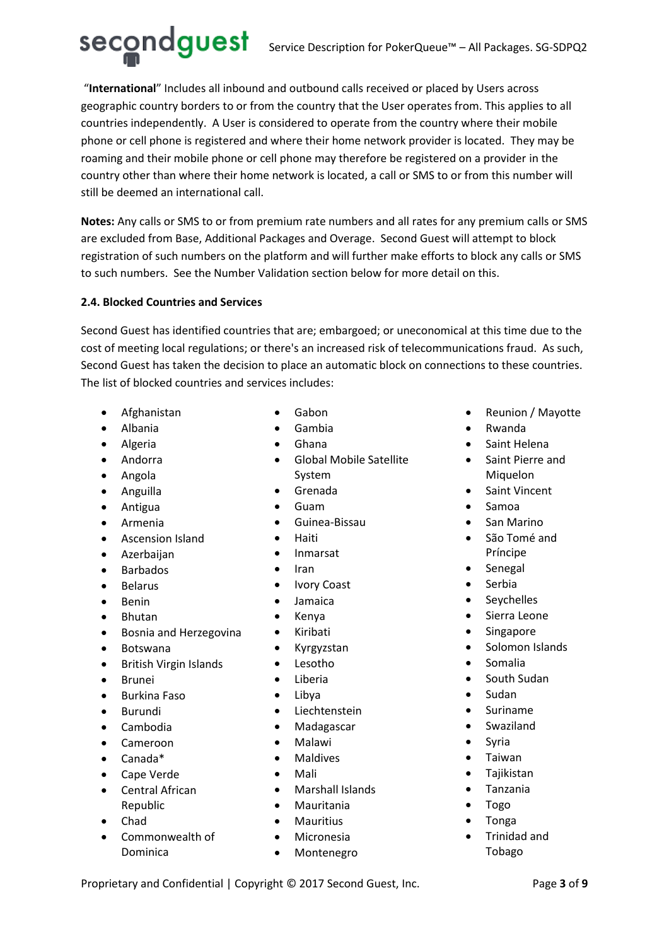## Secondguest Service Description for PokerQueue™ – All Packages. SG-SDPQ2

"**International**" Includes all inbound and outbound calls received or placed by Users across geographic country borders to or from the country that the User operates from. This applies to all countries independently. A User is considered to operate from the country where their mobile phone or cell phone is registered and where their home network provider is located. They may be roaming and their mobile phone or cell phone may therefore be registered on a provider in the country other than where their home network is located, a call or SMS to or from this number will still be deemed an international call.

**Notes:** Any calls or SMS to or from premium rate numbers and all rates for any premium calls or SMS are excluded from Base, Additional Packages and Overage. Second Guest will attempt to block registration of such numbers on the platform and will further make efforts to block any calls or SMS to such numbers. See the Number Validation section below for more detail on this.

#### **2.4. Blocked Countries and Services**

Second Guest has identified countries that are; embargoed; or uneconomical at this time due to the cost of meeting local regulations; or there's an increased risk of telecommunications fraud. As such, Second Guest has taken the decision to place an automatic block on connections to these countries. The list of blocked countries and services includes:

- Afghanistan
- Albania
- Algeria
- Andorra
- Angola
- Anguilla
- Antigua
- Armenia
- Ascension Island
- Azerbaijan
- Barbados
- Belarus
- Benin
- Bhutan
- Bosnia and Herzegovina
- Botswana
- British Virgin Islands
- Brunei
- Burkina Faso
- Burundi
- Cambodia
- Cameroon
- Canada\*
- Cape Verde
- Central African Republic
- Chad
- Commonwealth of

Dominica

- Gabon
- Gambia
- Ghana
- Global Mobile Satellite System
- Grenada
- Guam
- Guinea-Bissau
- Haiti
- Inmarsat
- Iran
- Ivory Coast
- Jamaica
- Kenya
- Kiribati
- Kyrgyzstan
- Lesotho
- Liberia
- Libya
- Liechtenstein
- Madagascar
- Malawi
- Maldives
- Mali
- Marshall Islands
- Mauritania
- Mauritius
- Micronesia
- Montenegro
- Reunion / Mayotte
- Rwanda
- Saint Helena
- Saint Pierre and Miquelon
- Saint Vincent
- Samoa
- San Marino
- São Tomé and Príncipe
- **Senegal**
- Serbia
- Seychelles
- Sierra Leone
- **Singapore**
- Solomon Islands
- Somalia
- South Sudan
- Sudan
- Suriname
- Swaziland
- **Syria**
- Taiwan
- Tajikistan
- Tanzania
- Togo
- Tonga
- Trinidad and Tobago

Proprietary and Confidential | Copyright © 2017 Second Guest, Inc. Page **3** of 9

- 
- 
- 
- 
- 
- 
- 
- 
-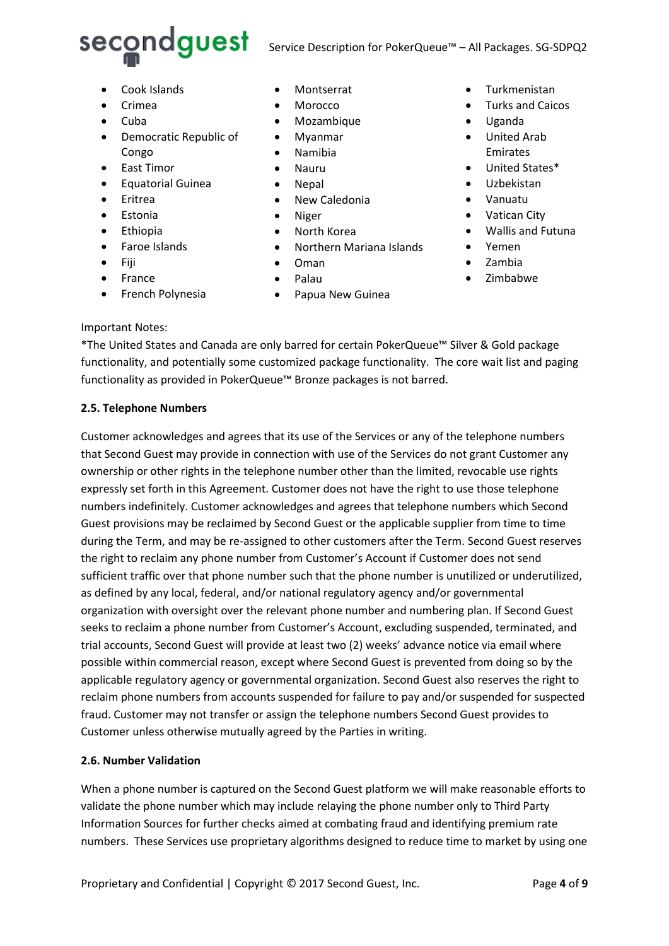

- Cook Islands
- Crimea
- Cuba
- Democratic Republic of Congo
- East Timor
- Equatorial Guinea
- Eritrea
- Estonia
- Ethiopia
- Faroe Islands
- Fiji
- France
- French Polynesia
- **Montserrat**
- Morocco
- Mozambique
- Myanmar
- Namibia
- Nauru
- Nepal
- New Caledonia
- Niger
- North Korea
- Northern Mariana Islands
- Oman
- Palau
- Papua New Guinea
- **Turkmenistan**
- Turks and Caicos
- Uganda
- United Arab Emirates
- United States\*
- Uzbekistan
- Vanuatu
- Vatican City
- Wallis and Futuna
- Yemen
- Zambia
- Zimbabwe

#### Important Notes:

\*The United States and Canada are only barred for certain PokerQueue™ Silver & Gold package functionality, and potentially some customized package functionality. The core wait list and paging functionality as provided in PokerQueue™ Bronze packages is not barred.

#### **2.5. Telephone Numbers**

Customer acknowledges and agrees that its use of the Services or any of the telephone numbers that Second Guest may provide in connection with use of the Services do not grant Customer any ownership or other rights in the telephone number other than the limited, revocable use rights expressly set forth in this Agreement. Customer does not have the right to use those telephone numbers indefinitely. Customer acknowledges and agrees that telephone numbers which Second Guest provisions may be reclaimed by Second Guest or the applicable supplier from time to time during the Term, and may be re-assigned to other customers after the Term. Second Guest reserves the right to reclaim any phone number from Customer's Account if Customer does not send sufficient traffic over that phone number such that the phone number is unutilized or underutilized, as defined by any local, federal, and/or national regulatory agency and/or governmental organization with oversight over the relevant phone number and numbering plan. If Second Guest seeks to reclaim a phone number from Customer's Account, excluding suspended, terminated, and trial accounts, Second Guest will provide at least two (2) weeks' advance notice via email where possible within commercial reason, except where Second Guest is prevented from doing so by the applicable regulatory agency or governmental organization. Second Guest also reserves the right to reclaim phone numbers from accounts suspended for failure to pay and/or suspended for suspected fraud. Customer may not transfer or assign the telephone numbers Second Guest provides to Customer unless otherwise mutually agreed by the Parties in writing.

#### **2.6. Number Validation**

When a phone number is captured on the Second Guest platform we will make reasonable efforts to validate the phone number which may include relaying the phone number only to Third Party Information Sources for further checks aimed at combating fraud and identifying premium rate numbers. These Services use proprietary algorithms designed to reduce time to market by using one

Proprietary and Confidential | Copyright © 2017 Second Guest, Inc. Page 4 of 9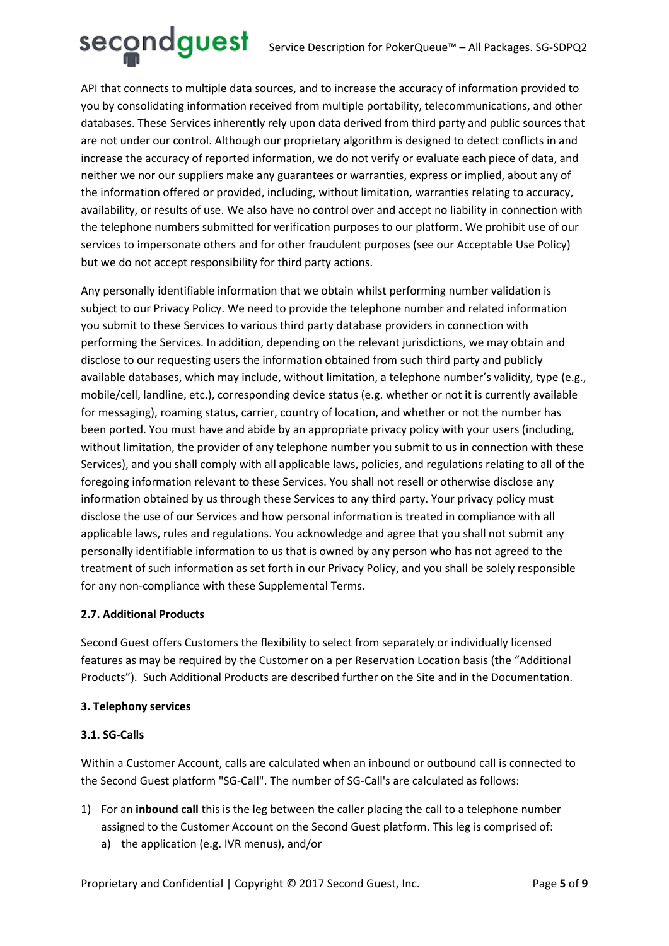# Secondguest Service Description for PokerQueue™ – All Packages. SG-SDPQ2

API that connects to multiple data sources, and to increase the accuracy of information provided to you by consolidating information received from multiple portability, telecommunications, and other databases. These Services inherently rely upon data derived from third party and public sources that are not under our control. Although our proprietary algorithm is designed to detect conflicts in and increase the accuracy of reported information, we do not verify or evaluate each piece of data, and neither we nor our suppliers make any guarantees or warranties, express or implied, about any of the information offered or provided, including, without limitation, warranties relating to accuracy, availability, or results of use. We also have no control over and accept no liability in connection with the telephone numbers submitted for verification purposes to our platform. We prohibit use of our services to impersonate others and for other fraudulent purposes (see our Acceptable Use Policy) but we do not accept responsibility for third party actions.

Any personally identifiable information that we obtain whilst performing number validation is subject to our Privacy Policy. We need to provide the telephone number and related information you submit to these Services to various third party database providers in connection with performing the Services. In addition, depending on the relevant jurisdictions, we may obtain and disclose to our requesting users the information obtained from such third party and publicly available databases, which may include, without limitation, a telephone number's validity, type (e.g., mobile/cell, landline, etc.), corresponding device status (e.g. whether or not it is currently available for messaging), roaming status, carrier, country of location, and whether or not the number has been ported. You must have and abide by an appropriate privacy policy with your users (including, without limitation, the provider of any telephone number you submit to us in connection with these Services), and you shall comply with all applicable laws, policies, and regulations relating to all of the foregoing information relevant to these Services. You shall not resell or otherwise disclose any information obtained by us through these Services to any third party. Your privacy policy must disclose the use of our Services and how personal information is treated in compliance with all applicable laws, rules and regulations. You acknowledge and agree that you shall not submit any personally identifiable information to us that is owned by any person who has not agreed to the treatment of such information as set forth in our Privacy Policy, and you shall be solely responsible for any non-compliance with these Supplemental Terms.

#### **2.7. Additional Products**

Second Guest offers Customers the flexibility to select from separately or individually licensed features as may be required by the Customer on a per Reservation Location basis (the "Additional Products"). Such Additional Products are described further on the Site and in the Documentation.

#### **3. Telephony services**

#### **3.1. SG-Calls**

Within a Customer Account, calls are calculated when an inbound or outbound call is connected to the Second Guest platform "SG-Call". The number of SG-Call's are calculated as follows:

- 1) For an **inbound call** this is the leg between the caller placing the call to a telephone number assigned to the Customer Account on the Second Guest platform. This leg is comprised of:
	- a) the application (e.g. IVR menus), and/or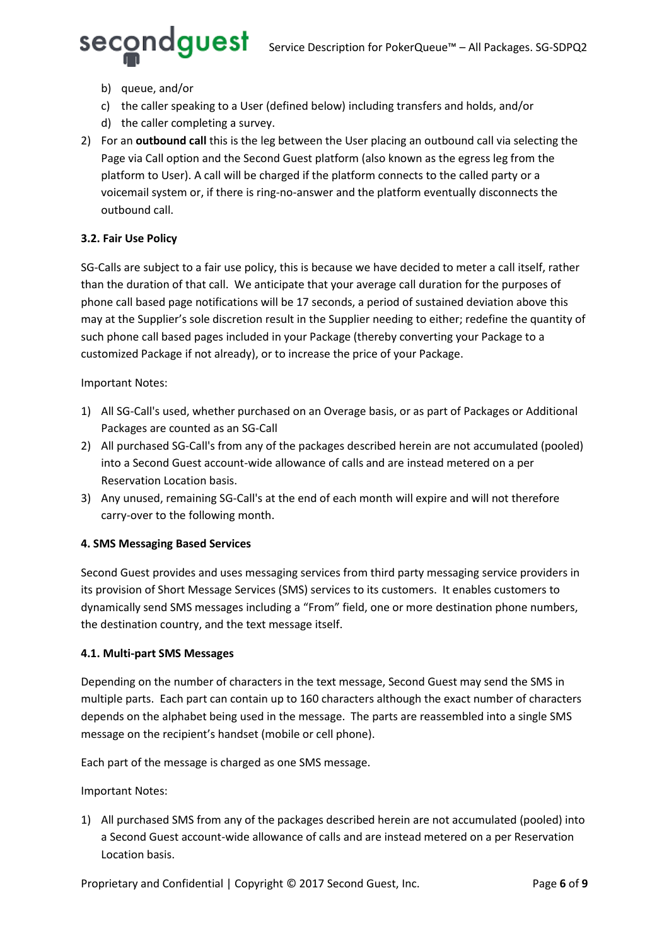- - b) queue, and/or
	- c) the caller speaking to a User (defined below) including transfers and holds, and/or
	- d) the caller completing a survey.
- 2) For an **outbound call** this is the leg between the User placing an outbound call via selecting the Page via Call option and the Second Guest platform (also known as the egress leg from the platform to User). A call will be charged if the platform connects to the called party or a voicemail system or, if there is ring-no-answer and the platform eventually disconnects the outbound call.

### **3.2. Fair Use Policy**

SG-Calls are subject to a fair use policy, this is because we have decided to meter a call itself, rather than the duration of that call. We anticipate that your average call duration for the purposes of phone call based page notifications will be 17 seconds, a period of sustained deviation above this may at the Supplier's sole discretion result in the Supplier needing to either; redefine the quantity of such phone call based pages included in your Package (thereby converting your Package to a customized Package if not already), or to increase the price of your Package.

#### Important Notes:

- 1) All SG-Call's used, whether purchased on an Overage basis, or as part of Packages or Additional Packages are counted as an SG-Call
- 2) All purchased SG-Call's from any of the packages described herein are not accumulated (pooled) into a Second Guest account-wide allowance of calls and are instead metered on a per Reservation Location basis.
- 3) Any unused, remaining SG-Call's at the end of each month will expire and will not therefore carry-over to the following month.

### **4. SMS Messaging Based Services**

Second Guest provides and uses messaging services from third party messaging service providers in its provision of Short Message Services (SMS) services to its customers. It enables customers to dynamically send SMS messages including a "From" field, one or more destination phone numbers, the destination country, and the text message itself.

#### **4.1. Multi-part SMS Messages**

Depending on the number of characters in the text message, Second Guest may send the SMS in multiple parts. Each part can contain up to 160 characters although the exact number of characters depends on the alphabet being used in the message. The parts are reassembled into a single SMS message on the recipient's handset (mobile or cell phone).

Each part of the message is charged as one SMS message.

Important Notes:

1) All purchased SMS from any of the packages described herein are not accumulated (pooled) into a Second Guest account-wide allowance of calls and are instead metered on a per Reservation Location basis.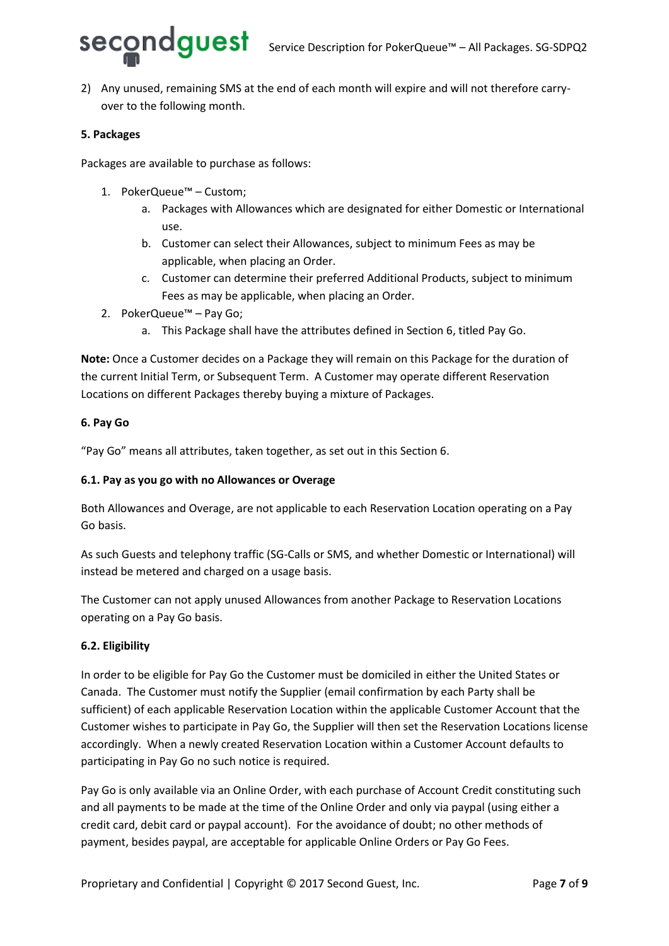

2) Any unused, remaining SMS at the end of each month will expire and will not therefore carryover to the following month.

#### **5. Packages**

Packages are available to purchase as follows:

- 1. PokerQueue™ Custom;
	- a. Packages with Allowances which are designated for either Domestic or International use.
	- b. Customer can select their Allowances, subject to minimum Fees as may be applicable, when placing an Order.
	- c. Customer can determine their preferred Additional Products, subject to minimum Fees as may be applicable, when placing an Order.
- 2. PokerQueue™ Pay Go;
	- a. This Package shall have the attributes defined in Section 6, titled Pay Go.

**Note:** Once a Customer decides on a Package they will remain on this Package for the duration of the current Initial Term, or Subsequent Term. A Customer may operate different Reservation Locations on different Packages thereby buying a mixture of Packages.

#### **6. Pay Go**

"Pay Go" means all attributes, taken together, as set out in this Section 6.

#### **6.1. Pay as you go with no Allowances or Overage**

Both Allowances and Overage, are not applicable to each Reservation Location operating on a Pay Go basis.

As such Guests and telephony traffic (SG-Calls or SMS, and whether Domestic or International) will instead be metered and charged on a usage basis.

The Customer can not apply unused Allowances from another Package to Reservation Locations operating on a Pay Go basis.

#### **6.2. Eligibility**

In order to be eligible for Pay Go the Customer must be domiciled in either the United States or Canada. The Customer must notify the Supplier (email confirmation by each Party shall be sufficient) of each applicable Reservation Location within the applicable Customer Account that the Customer wishes to participate in Pay Go, the Supplier will then set the Reservation Locations license accordingly. When a newly created Reservation Location within a Customer Account defaults to participating in Pay Go no such notice is required.

Pay Go is only available via an Online Order, with each purchase of Account Credit constituting such and all payments to be made at the time of the Online Order and only via paypal (using either a credit card, debit card or paypal account). For the avoidance of doubt; no other methods of payment, besides paypal, are acceptable for applicable Online Orders or Pay Go Fees.

Proprietary and Confidential | Copyright © 2017 Second Guest, Inc. Page 7 of 9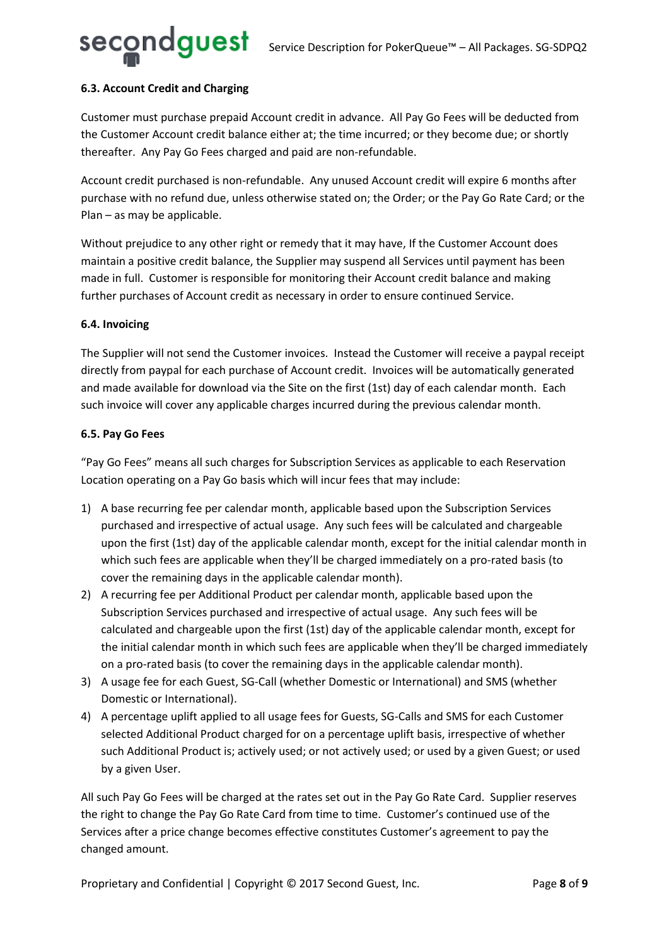#### **6.3. Account Credit and Charging**

Customer must purchase prepaid Account credit in advance. All Pay Go Fees will be deducted from the Customer Account credit balance either at; the time incurred; or they become due; or shortly thereafter. Any Pay Go Fees charged and paid are non-refundable.

Account credit purchased is non-refundable. Any unused Account credit will expire 6 months after purchase with no refund due, unless otherwise stated on; the Order; or the Pay Go Rate Card; or the Plan – as may be applicable.

Without prejudice to any other right or remedy that it may have, If the Customer Account does maintain a positive credit balance, the Supplier may suspend all Services until payment has been made in full. Customer is responsible for monitoring their Account credit balance and making further purchases of Account credit as necessary in order to ensure continued Service.

#### **6.4. Invoicing**

The Supplier will not send the Customer invoices. Instead the Customer will receive a paypal receipt directly from paypal for each purchase of Account credit. Invoices will be automatically generated and made available for download via the Site on the first (1st) day of each calendar month. Each such invoice will cover any applicable charges incurred during the previous calendar month.

#### **6.5. Pay Go Fees**

"Pay Go Fees" means all such charges for Subscription Services as applicable to each Reservation Location operating on a Pay Go basis which will incur fees that may include:

- 1) A base recurring fee per calendar month, applicable based upon the Subscription Services purchased and irrespective of actual usage. Any such fees will be calculated and chargeable upon the first (1st) day of the applicable calendar month, except for the initial calendar month in which such fees are applicable when they'll be charged immediately on a pro-rated basis (to cover the remaining days in the applicable calendar month).
- 2) A recurring fee per Additional Product per calendar month, applicable based upon the Subscription Services purchased and irrespective of actual usage. Any such fees will be calculated and chargeable upon the first (1st) day of the applicable calendar month, except for the initial calendar month in which such fees are applicable when they'll be charged immediately on a pro-rated basis (to cover the remaining days in the applicable calendar month).
- 3) A usage fee for each Guest, SG-Call (whether Domestic or International) and SMS (whether Domestic or International).
- 4) A percentage uplift applied to all usage fees for Guests, SG-Calls and SMS for each Customer selected Additional Product charged for on a percentage uplift basis, irrespective of whether such Additional Product is; actively used; or not actively used; or used by a given Guest; or used by a given User.

All such Pay Go Fees will be charged at the rates set out in the Pay Go Rate Card. Supplier reserves the right to change the Pay Go Rate Card from time to time. Customer's continued use of the Services after a price change becomes effective constitutes Customer's agreement to pay the changed amount.

Proprietary and Confidential | Copyright © 2017 Second Guest, Inc. Page 8 of 9